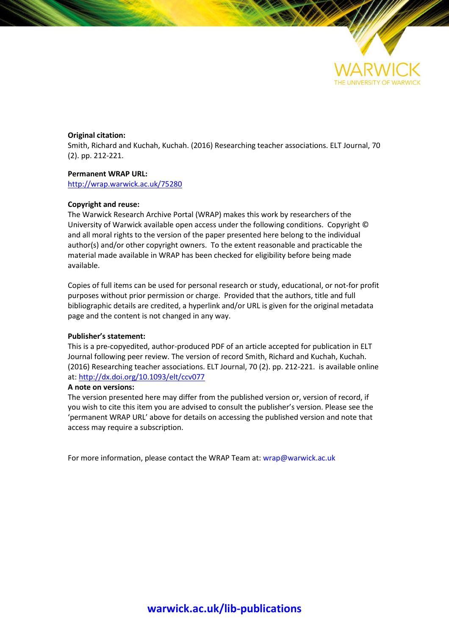

#### **Original citation:**

Smith, Richard and Kuchah, Kuchah. (2016) Researching teacher associations. ELT Journal, 70 (2). pp. 212-221.

#### **Permanent WRAP URL:**

<http://wrap.warwick.ac.uk/75280>

#### **Copyright and reuse:**

The Warwick Research Archive Portal (WRAP) makes this work by researchers of the University of Warwick available open access under the following conditions. Copyright © and all moral rights to the version of the paper presented here belong to the individual author(s) and/or other copyright owners. To the extent reasonable and practicable the material made available in WRAP has been checked for eligibility before being made available.

Copies of full items can be used for personal research or study, educational, or not-for profit purposes without prior permission or charge. Provided that the authors, title and full bibliographic details are credited, a hyperlink and/or URL is given for the original metadata page and the content is not changed in any way.

#### **Publisher's statement:**

This is a pre-copyedited, author-produced PDF of an article accepted for publication in ELT Journal following peer review. The version of record Smith, Richard and Kuchah, Kuchah. (2016) Researching teacher associations. ELT Journal, 70 (2). pp. 212-221. is available online at:<http://dx.doi.org/10.1093/elt/ccv077>

#### **A note on versions:**

The version presented here may differ from the published version or, version of record, if you wish to cite this item you are advised to consult the publisher's version. Please see the 'permanent WRAP URL' above for details on accessing the published version and note that access may require a subscription.

For more information, please contact the WRAP Team at[: wrap@warwick.ac.uk](mailto:wrap@warwick.ac.uk)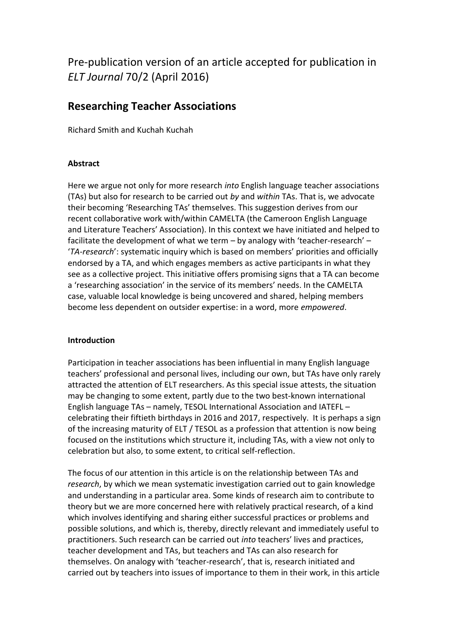# Pre-publication version of an article accepted for publication in *ELT Journal* 70/2 (April 2016)

# **Researching Teacher Associations**

Richard Smith and Kuchah Kuchah

## **Abstract**

Here we argue not only for more research *into* English language teacher associations (TAs) but also for research to be carried out *by* and *within* TAs. That is, we advocate their becoming 'Researching TAs' themselves. This suggestion derives from our recent collaborative work with/within CAMELTA (the Cameroon English Language and Literature Teachers' Association). In this context we have initiated and helped to facilitate the development of what we term – by analogy with 'teacher-research' – '*TA-research*': systematic inquiry which is based on members' priorities and officially endorsed by a TA, and which engages members as active participants in what they see as a collective project. This initiative offers promising signs that a TA can become a 'researching association' in the service of its members' needs. In the CAMELTA case, valuable local knowledge is being uncovered and shared, helping members become less dependent on outsider expertise: in a word, more *empowered*.

### **Introduction**

Participation in teacher associations has been influential in many English language teachers' professional and personal lives, including our own, but TAs have only rarely attracted the attention of ELT researchers. As this special issue attests, the situation may be changing to some extent, partly due to the two best-known international English language TAs – namely, TESOL International Association and IATEFL – celebrating their fiftieth birthdays in 2016 and 2017, respectively. It is perhaps a sign of the increasing maturity of ELT / TESOL as a profession that attention is now being focused on the institutions which structure it, including TAs, with a view not only to celebration but also, to some extent, to critical self-reflection.

The focus of our attention in this article is on the relationship between TAs and *research*, by which we mean systematic investigation carried out to gain knowledge and understanding in a particular area. Some kinds of research aim to contribute to theory but we are more concerned here with relatively practical research, of a kind which involves identifying and sharing either successful practices or problems and possible solutions, and which is, thereby, directly relevant and immediately useful to practitioners. Such research can be carried out *into* teachers' lives and practices, teacher development and TAs, but teachers and TAs can also research for themselves. On analogy with 'teacher-research', that is, research initiated and carried out by teachers into issues of importance to them in their work, in this article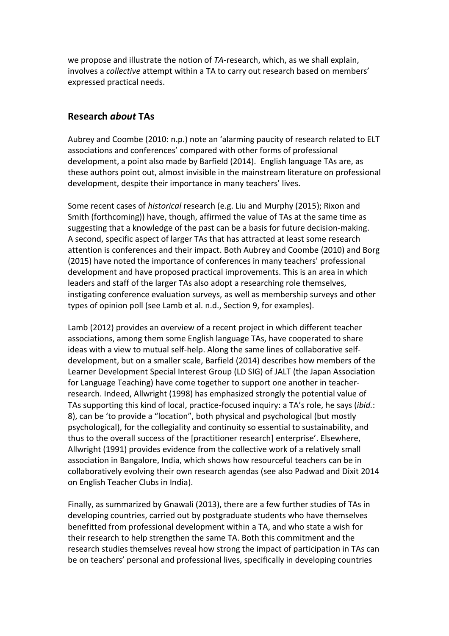we propose and illustrate the notion of *TA-*research, which, as we shall explain, involves a *collective* attempt within a TA to carry out research based on members' expressed practical needs.

## **Research** *about* **TAs**

Aubrey and Coombe (2010: n.p.) note an 'alarming paucity of research related to ELT associations and conferences' compared with other forms of professional development, a point also made by Barfield (2014). English language TAs are, as these authors point out, almost invisible in the mainstream literature on professional development, despite their importance in many teachers' lives.

Some recent cases of *historical* research (e.g. Liu and Murphy (2015); Rixon and Smith (forthcoming)) have, though, affirmed the value of TAs at the same time as suggesting that a knowledge of the past can be a basis for future decision-making. A second, specific aspect of larger TAs that has attracted at least some research attention is conferences and their impact. Both Aubrey and Coombe (2010) and Borg (2015) have noted the importance of conferences in many teachers' professional development and have proposed practical improvements. This is an area in which leaders and staff of the larger TAs also adopt a researching role themselves, instigating conference evaluation surveys, as well as membership surveys and other types of opinion poll (see Lamb et al. n.d., Section 9, for examples).

Lamb (2012) provides an overview of a recent project in which different teacher associations, among them some English language TAs, have cooperated to share ideas with a view to mutual self-help. Along the same lines of collaborative selfdevelopment, but on a smaller scale, Barfield (2014) describes how members of the Learner Development Special Interest Group (LD SIG) of JALT (the Japan Association for Language Teaching) have come together to support one another in teacherresearch. Indeed, Allwright (1998) has emphasized strongly the potential value of TAs supporting this kind of local, practice-focused inquiry: a TA's role, he says (*ibid.*: 8), can be 'to provide a "location", both physical and psychological (but mostly psychological), for the collegiality and continuity so essential to sustainability, and thus to the overall success of the [practitioner research] enterprise'. Elsewhere, Allwright (1991) provides evidence from the collective work of a relatively small association in Bangalore, India, which shows how resourceful teachers can be in collaboratively evolving their own research agendas (see also Padwad and Dixit 2014 on English Teacher Clubs in India).

Finally, as summarized by Gnawali (2013), there are a few further studies of TAs in developing countries, carried out by postgraduate students who have themselves benefitted from professional development within a TA, and who state a wish for their research to help strengthen the same TA. Both this commitment and the research studies themselves reveal how strong the impact of participation in TAs can be on teachers' personal and professional lives, specifically in developing countries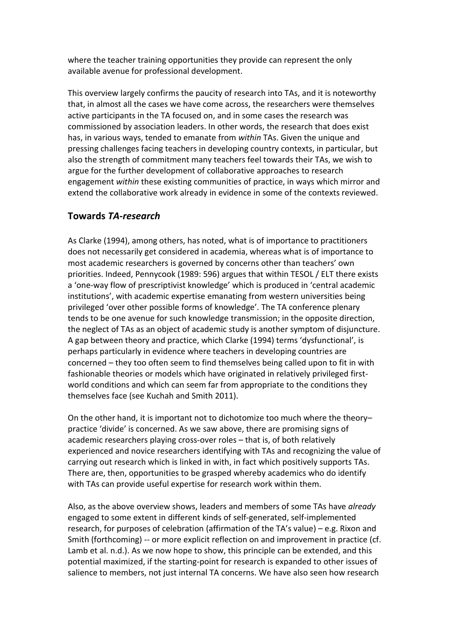where the teacher training opportunities they provide can represent the only available avenue for professional development.

This overview largely confirms the paucity of research into TAs, and it is noteworthy that, in almost all the cases we have come across, the researchers were themselves active participants in the TA focused on, and in some cases the research was commissioned by association leaders. In other words, the research that does exist has, in various ways, tended to emanate from *within* TAs. Given the unique and pressing challenges facing teachers in developing country contexts, in particular, but also the strength of commitment many teachers feel towards their TAs, we wish to argue for the further development of collaborative approaches to research engagement *within* these existing communities of practice, in ways which mirror and extend the collaborative work already in evidence in some of the contexts reviewed.

# **Towards** *TA-research*

As Clarke (1994), among others, has noted, what is of importance to practitioners does not necessarily get considered in academia, whereas what is of importance to most academic researchers is governed by concerns other than teachers' own priorities. Indeed, Pennycook (1989: 596) argues that within TESOL / ELT there exists a 'one-way flow of prescriptivist knowledge' which is produced in 'central academic institutions', with academic expertise emanating from western universities being privileged 'over other possible forms of knowledge'. The TA conference plenary tends to be one avenue for such knowledge transmission; in the opposite direction, the neglect of TAs as an object of academic study is another symptom of disjuncture. A gap between theory and practice, which Clarke (1994) terms 'dysfunctional', is perhaps particularly in evidence where teachers in developing countries are concerned – they too often seem to find themselves being called upon to fit in with fashionable theories or models which have originated in relatively privileged firstworld conditions and which can seem far from appropriate to the conditions they themselves face (see Kuchah and Smith 2011).

On the other hand, it is important not to dichotomize too much where the theory– practice 'divide' is concerned. As we saw above, there are promising signs of academic researchers playing cross-over roles – that is, of both relatively experienced and novice researchers identifying with TAs and recognizing the value of carrying out research which is linked in with, in fact which positively supports TAs. There are, then, opportunities to be grasped whereby academics who do identify with TAs can provide useful expertise for research work within them.

Also, as the above overview shows, leaders and members of some TAs have *already* engaged to some extent in different kinds of self-generated, self-implemented research, for purposes of celebration (affirmation of the TA's value) – e.g. Rixon and Smith (forthcoming) -- or more explicit reflection on and improvement in practice (cf. Lamb et al. n.d.). As we now hope to show, this principle can be extended, and this potential maximized, if the starting-point for research is expanded to other issues of salience to members, not just internal TA concerns. We have also seen how research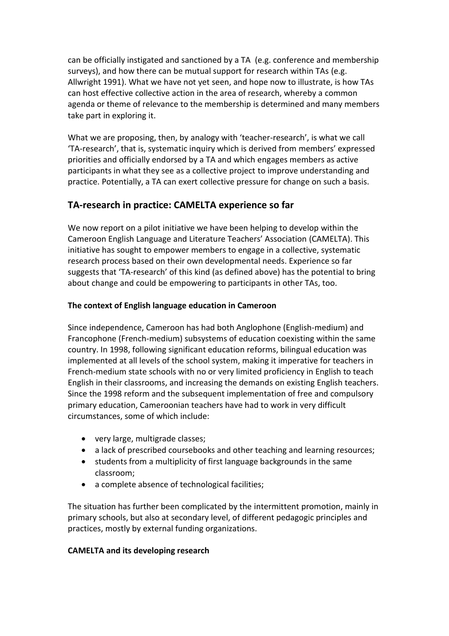can be officially instigated and sanctioned by a TA (e.g. conference and membership surveys), and how there can be mutual support for research within TAs (e.g. Allwright 1991). What we have not yet seen, and hope now to illustrate, is how TAs can host effective collective action in the area of research, whereby a common agenda or theme of relevance to the membership is determined and many members take part in exploring it.

What we are proposing, then, by analogy with 'teacher-research', is what we call 'TA-research', that is, systematic inquiry which is derived from members' expressed priorities and officially endorsed by a TA and which engages members as active participants in what they see as a collective project to improve understanding and practice. Potentially, a TA can exert collective pressure for change on such a basis.

# **TA-research in practice: CAMELTA experience so far**

We now report on a pilot initiative we have been helping to develop within the Cameroon English Language and Literature Teachers' Association (CAMELTA). This initiative has sought to empower members to engage in a collective, systematic research process based on their own developmental needs. Experience so far suggests that 'TA-research' of this kind (as defined above) has the potential to bring about change and could be empowering to participants in other TAs, too.

## **The context of English language education in Cameroon**

Since independence, Cameroon has had both Anglophone (English-medium) and Francophone (French-medium) subsystems of education coexisting within the same country. In 1998, following significant education reforms, bilingual education was implemented at all levels of the school system, making it imperative for teachers in French-medium state schools with no or very limited proficiency in English to teach English in their classrooms, and increasing the demands on existing English teachers. Since the 1998 reform and the subsequent implementation of free and compulsory primary education, Cameroonian teachers have had to work in very difficult circumstances, some of which include:

- very large, multigrade classes;
- a lack of prescribed coursebooks and other teaching and learning resources;
- students from a multiplicity of first language backgrounds in the same classroom;
- a complete absence of technological facilities;

The situation has further been complicated by the intermittent promotion, mainly in primary schools, but also at secondary level, of different pedagogic principles and practices, mostly by external funding organizations.

# **CAMELTA and its developing research**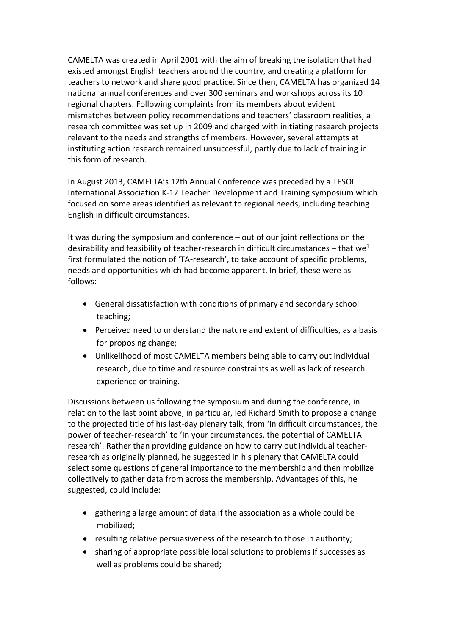CAMELTA was created in April 2001 with the aim of breaking the isolation that had existed amongst English teachers around the country, and creating a platform for teachers to network and share good practice. Since then, CAMELTA has organized 14 national annual conferences and over 300 seminars and workshops across its 10 regional chapters. Following complaints from its members about evident mismatches between policy recommendations and teachers' classroom realities, a research committee was set up in 2009 and charged with initiating research projects relevant to the needs and strengths of members. However, several attempts at instituting action research remained unsuccessful, partly due to lack of training in this form of research.

In August 2013, CAMELTA's 12th Annual Conference was preceded by a TESOL International Association K-12 Teacher Development and Training symposium which focused on some areas identified as relevant to regional needs, including teaching English in difficult circumstances.

It was during the symposium and conference – out of our joint reflections on the desirability and feasibility of teacher-research in difficult circumstances – that we<sup>1</sup> first formulated the notion of 'TA-research', to take account of specific problems, needs and opportunities which had become apparent. In brief, these were as follows:

- General dissatisfaction with conditions of primary and secondary school teaching;
- Perceived need to understand the nature and extent of difficulties, as a basis for proposing change;
- Unlikelihood of most CAMELTA members being able to carry out individual research, due to time and resource constraints as well as lack of research experience or training.

Discussions between us following the symposium and during the conference, in relation to the last point above, in particular, led Richard Smith to propose a change to the projected title of his last-day plenary talk, from 'In difficult circumstances, the power of teacher-research' to 'In your circumstances, the potential of CAMELTA research'. Rather than providing guidance on how to carry out individual teacherresearch as originally planned, he suggested in his plenary that CAMELTA could select some questions of general importance to the membership and then mobilize collectively to gather data from across the membership. Advantages of this, he suggested, could include:

- gathering a large amount of data if the association as a whole could be mobilized;
- resulting relative persuasiveness of the research to those in authority;
- sharing of appropriate possible local solutions to problems if successes as well as problems could be shared;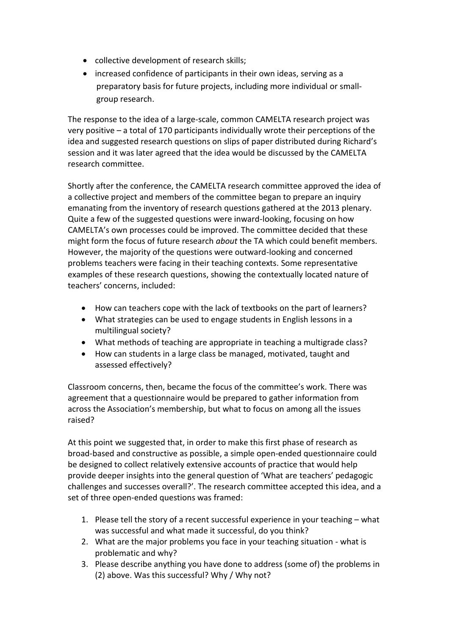- collective development of research skills;
- increased confidence of participants in their own ideas, serving as a preparatory basis for future projects, including more individual or smallgroup research.

The response to the idea of a large-scale, common CAMELTA research project was very positive – a total of 170 participants individually wrote their perceptions of the idea and suggested research questions on slips of paper distributed during Richard's session and it was later agreed that the idea would be discussed by the CAMELTA research committee.

Shortly after the conference, the CAMELTA research committee approved the idea of a collective project and members of the committee began to prepare an inquiry emanating from the inventory of research questions gathered at the 2013 plenary. Quite a few of the suggested questions were inward-looking, focusing on how CAMELTA's own processes could be improved. The committee decided that these might form the focus of future research *about* the TA which could benefit members. However, the majority of the questions were outward-looking and concerned problems teachers were facing in their teaching contexts. Some representative examples of these research questions, showing the contextually located nature of teachers' concerns, included:

- How can teachers cope with the lack of textbooks on the part of learners?
- What strategies can be used to engage students in English lessons in a multilingual society?
- What methods of teaching are appropriate in teaching a multigrade class?
- How can students in a large class be managed, motivated, taught and assessed effectively?

Classroom concerns, then, became the focus of the committee's work. There was agreement that a questionnaire would be prepared to gather information from across the Association's membership, but what to focus on among all the issues raised?

At this point we suggested that, in order to make this first phase of research as broad-based and constructive as possible, a simple open-ended questionnaire could be designed to collect relatively extensive accounts of practice that would help provide deeper insights into the general question of 'What are teachers' pedagogic challenges and successes overall?'. The research committee accepted this idea, and a set of three open-ended questions was framed:

- 1. Please tell the story of a recent successful experience in your teaching what was successful and what made it successful, do you think?
- 2. What are the major problems you face in your teaching situation what is problematic and why?
- 3. Please describe anything you have done to address (some of) the problems in (2) above. Was this successful? Why / Why not?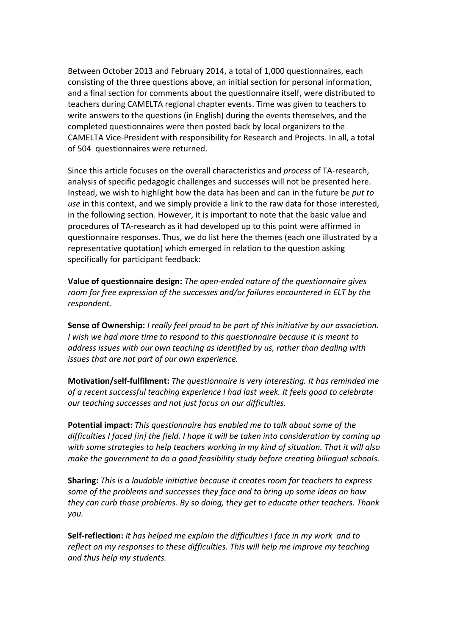Between October 2013 and February 2014, a total of 1,000 questionnaires, each consisting of the three questions above, an initial section for personal information, and a final section for comments about the questionnaire itself, were distributed to teachers during CAMELTA regional chapter events. Time was given to teachers to write answers to the questions (in English) during the events themselves, and the completed questionnaires were then posted back by local organizers to the CAMELTA Vice-President with responsibility for Research and Projects. In all, a total of 504 questionnaires were returned.

Since this article focuses on the overall characteristics and *process* of TA-research, analysis of specific pedagogic challenges and successes will not be presented here. Instead, we wish to highlight how the data has been and can in the future be *put to use* in this context, and we simply provide a link to the raw data for those interested, in the following section. However, it is important to note that the basic value and procedures of TA-research as it had developed up to this point were affirmed in questionnaire responses. Thus, we do list here the themes (each one illustrated by a representative quotation) which emerged in relation to the question asking specifically for participant feedback:

**Value of questionnaire design:** *The open-ended nature of the questionnaire gives room for free expression of the successes and/or failures encountered in ELT by the respondent.*

**Sense of Ownership:** *I really feel proud to be part of this initiative by our association. I wish we had more time to respond to this questionnaire because it is meant to address issues with our own teaching as identified by us, rather than dealing with issues that are not part of our own experience.*

**Motivation/self-fulfilment:** *The questionnaire is very interesting. It has reminded me of a recent successful teaching experience I had last week. It feels good to celebrate our teaching successes and not just focus on our difficulties.*

**Potential impact:** *This questionnaire has enabled me to talk about some of the difficulties I faced [in] the field. I hope it will be taken into consideration by coming up with some strategies to help teachers working in my kind of situation. That it will also make the government to do a good feasibility study before creating bilingual schools.*

**Sharing:** *This is a laudable initiative because it creates room for teachers to express some of the problems and successes they face and to bring up some ideas on how they can curb those problems. By so doing, they get to educate other teachers. Thank you.*

**Self-reflection:** *It has helped me explain the difficulties I face in my work and to reflect on my responses to these difficulties. This will help me improve my teaching and thus help my students.*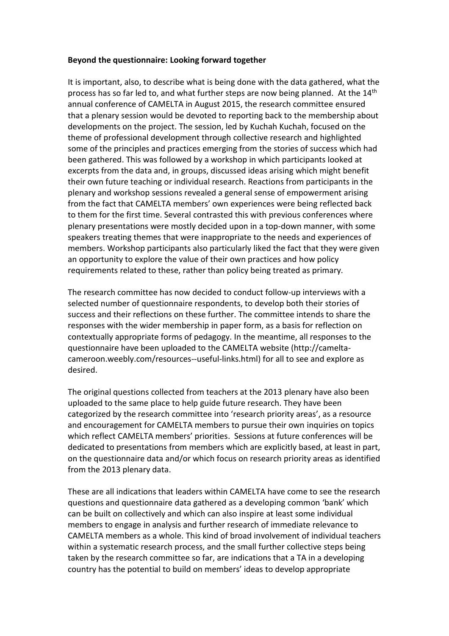### **Beyond the questionnaire: Looking forward together**

It is important, also, to describe what is being done with the data gathered, what the process has so far led to, and what further steps are now being planned. At the  $14<sup>th</sup>$ annual conference of CAMELTA in August 2015, the research committee ensured that a plenary session would be devoted to reporting back to the membership about developments on the project. The session, led by Kuchah Kuchah, focused on the theme of professional development through collective research and highlighted some of the principles and practices emerging from the stories of success which had been gathered. This was followed by a workshop in which participants looked at excerpts from the data and, in groups, discussed ideas arising which might benefit their own future teaching or individual research. Reactions from participants in the plenary and workshop sessions revealed a general sense of empowerment arising from the fact that CAMELTA members' own experiences were being reflected back to them for the first time. Several contrasted this with previous conferences where plenary presentations were mostly decided upon in a top-down manner, with some speakers treating themes that were inappropriate to the needs and experiences of members. Workshop participants also particularly liked the fact that they were given an opportunity to explore the value of their own practices and how policy requirements related to these, rather than policy being treated as primary.

The research committee has now decided to conduct follow-up interviews with a selected number of questionnaire respondents, to develop both their stories of success and their reflections on these further. The committee intends to share the responses with the wider membership in paper form, as a basis for reflection on contextually appropriate forms of pedagogy. In the meantime, all responses to the questionnaire have been uploaded to the CAMELTA website [\(http://camelta](http://camelta-cameroon.weebly.com/resources--useful-links.html)[cameroon.weebly.com/resources--useful-links.html\)](http://camelta-cameroon.weebly.com/resources--useful-links.html) for all to see and explore as desired.

The original questions collected from teachers at the 2013 plenary have also been uploaded to the same place to help guide future research. They have been categorized by the research committee into 'research priority areas', as a resource and encouragement for CAMELTA members to pursue their own inquiries on topics which reflect CAMELTA members' priorities. Sessions at future conferences will be dedicated to presentations from members which are explicitly based, at least in part, on the questionnaire data and/or which focus on research priority areas as identified from the 2013 plenary data.

These are all indications that leaders within CAMELTA have come to see the research questions and questionnaire data gathered as a developing common 'bank' which can be built on collectively and which can also inspire at least some individual members to engage in analysis and further research of immediate relevance to CAMELTA members as a whole. This kind of broad involvement of individual teachers within a systematic research process, and the small further collective steps being taken by the research committee so far, are indications that a TA in a developing country has the potential to build on members' ideas to develop appropriate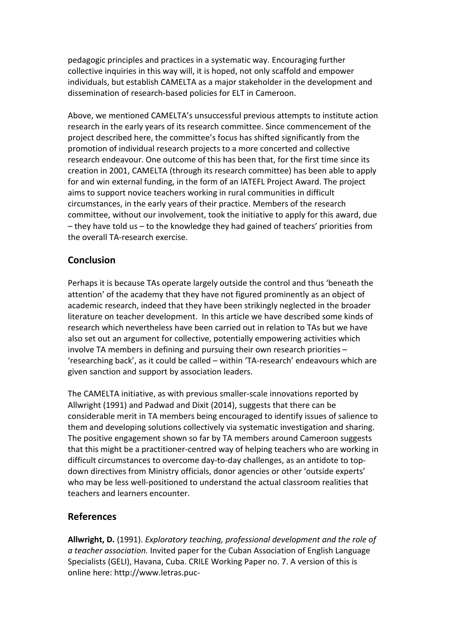pedagogic principles and practices in a systematic way. Encouraging further collective inquiries in this way will, it is hoped, not only scaffold and empower individuals, but establish CAMELTA as a major stakeholder in the development and dissemination of research-based policies for ELT in Cameroon.

Above, we mentioned CAMELTA's unsuccessful previous attempts to institute action research in the early years of its research committee. Since commencement of the project described here, the committee's focus has shifted significantly from the promotion of individual research projects to a more concerted and collective research endeavour. One outcome of this has been that, for the first time since its creation in 2001, CAMELTA (through its research committee) has been able to apply for and win external funding, in the form of an IATEFL Project Award. The project aims to support novice teachers working in rural communities in difficult circumstances, in the early years of their practice. Members of the research committee, without our involvement, took the initiative to apply for this award, due – they have told us – to the knowledge they had gained of teachers' priorities from the overall TA-research exercise.

# **Conclusion**

Perhaps it is because TAs operate largely outside the control and thus 'beneath the attention' of the academy that they have not figured prominently as an object of academic research, indeed that they have been strikingly neglected in the broader literature on teacher development. In this article we have described some kinds of research which nevertheless have been carried out in relation to TAs but we have also set out an argument for collective, potentially empowering activities which involve TA members in defining and pursuing their own research priorities – 'researching back', as it could be called – within 'TA-research' endeavours which are given sanction and support by association leaders.

The CAMELTA initiative, as with previous smaller-scale innovations reported by Allwright (1991) and Padwad and Dixit (2014), suggests that there can be considerable merit in TA members being encouraged to identify issues of salience to them and developing solutions collectively via systematic investigation and sharing. The positive engagement shown so far by TA members around Cameroon suggests that this might be a practitioner-centred way of helping teachers who are working in difficult circumstances to overcome day-to-day challenges, as an antidote to topdown directives from Ministry officials, donor agencies or other 'outside experts' who may be less well-positioned to understand the actual classroom realities that teachers and learners encounter.

# **References**

**Allwright, D.** (1991). *Exploratory teaching, professional development and the role of a teacher association.* Invited paper for the Cuban Association of English Language Specialists (GELI), Havana, Cuba. CRILE Working Paper no. 7. A version of this is online here: [http://www.letras.puc-](http://www.letras.puc-rio.br/unidades&nucleos/epcentre/readings/cuba%2091%20paper.htm)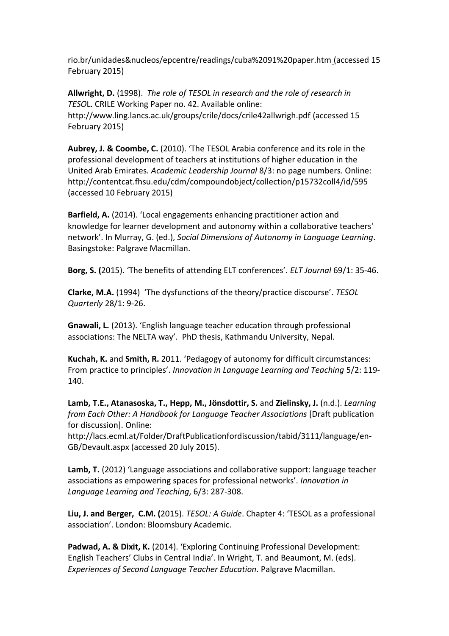[rio.br/unidades&nucleos/epcentre/readings/cuba%2091%20paper.htm](http://www.letras.puc-rio.br/unidades&nucleos/epcentre/readings/cuba%2091%20paper.htm) (accessed 15 February 2015)

**Allwright, D.** (1998). *The role of TESOL in research and the role of research in TESO*L. CRILE Working Paper no. 42. Available online: <http://www.ling.lancs.ac.uk/groups/crile/docs/crile42allwrigh.pdf> (accessed 15 February 2015)

**Aubrey, J. & Coombe, C.** (2010). 'The TESOL Arabia conference and its role in the professional development of teachers at institutions of higher education in the United Arab Emirates*. Academic Leadership Journal* 8/3: no page numbers. Online: <http://contentcat.fhsu.edu/cdm/compoundobject/collection/p15732coll4/id/595> (accessed 10 February 2015)

**Barfield, A.** (2014). 'Local engagements enhancing practitioner action and knowledge for learner development and autonomy within a collaborative teachers' network'. In Murray, G. (ed.), *Social Dimensions of Autonomy in Language Learning*. Basingstoke: Palgrave Macmillan.

**Borg, S. (**2015). 'The benefits of attending ELT conferences'. *ELT Journal* 69/1: 35-46.

**Clarke, M.A.** (1994) 'The dysfunctions of the theory/practice discourse'. *TESOL Quarterly* 28/1: 9-26.

**Gnawali, L.** (2013). 'English language teacher education through professional associations: The NELTA way'*.* PhD thesis, Kathmandu University, Nepal.

**Kuchah, K.** and **Smith, R.** 2011. 'Pedagogy of autonomy for difficult circumstances: From practice to principles'. *Innovation in Language Learning and Teaching* 5/2: 119- 140.

**Lamb, T.E., Atanasoska, T., Hepp, M., Jönsdottir, S.** and **Zielinsky, J.** (n.d.). *Learning from Each Other: A Handbook for Language Teacher Associations* [Draft publication for discussion]. Online:

[http://lacs.ecml.at/Folder/DraftPublicationfordiscussion/tabid/3111/language/en-](http://lacs.ecml.at/Folder/DraftPublicationfordiscussion/tabid/3111/language/en-GB/Devault.aspx)[GB/Devault.aspx](http://lacs.ecml.at/Folder/DraftPublicationfordiscussion/tabid/3111/language/en-GB/Devault.aspx) (accessed 20 July 2015).

**Lamb, T.** (2012) 'Language associations and collaborative support: language teacher associations as empowering spaces for professional networks'. *Innovation in Language Learning and Teaching*, 6/3: 287-308.

**Liu, J. and Berger, C.M. (**2015). *TESOL: A Guide*. Chapter 4: 'TESOL as a professional association'. London: Bloomsbury Academic.

**Padwad, A. & Dixit, K.** (2014). 'Exploring Continuing Professional Development: English Teachers' Clubs in Central India'. In Wright, T. and Beaumont, M. (eds). *Experiences of Second Language Teacher Education*. Palgrave Macmillan.